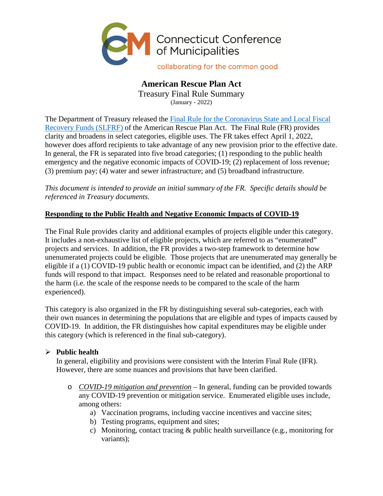

## **American Rescue Plan Act**  Treasury Final Rule Summary (January - 2022)

The Department of Treasury released the [Final Rule for the Coronavirus State and Local Fiscal](https://home.treasury.gov/system/files/136/SLFRF-Final-Rule.pdf)  Recovery Funds (SLFRF) [of the American Rescue Plan Act. The Final Rule \(FR\) provides](https://home.treasury.gov/system/files/136/SLFRF-Final-Rule.pdf)  clarity and broadens in select categories, eligible uses. The FR takes effect April 1, 2022, however does afford recipients to take advantage of any new provision prior to the effective date. In general, the FR is separated into five broad categories; (1) responding to the public health emergency and the negative economic impacts of COVID-19; (2) replacement of loss revenue; (3) premium pay; (4) water and sewer infrastructure; and (5) broadband infrastructure.

*This document is intended to provide an initial summary of the FR. Specific details should be referenced in Treasury documents.* 

# **Responding to the Public Health and Negative Economic Impacts of COVID-19**

The Final Rule provides clarity and additional examples of projects eligible under this category. It includes a non-exhaustive list of eligible projects, which are referred to as "enumerated" projects and services. In addition, the FR provides a two-step framework to determine how unenumerated projects could be eligible. Those projects that are unenumerated may generally be eligible if a (1) COVID-19 public health or economic impact can be identified, and (2) the ARP funds will respond to that impact. Responses need to be related and reasonable proportional to the harm (i.e. the scale of the response needs to be compared to the scale of the harm experienced).

This category is also organized in the FR by distinguishing several sub-categories, each with their own nuances in determining the populations that are eligible and types of impacts caused by COVID-19. In addition, the FR distinguishes how capital expenditures may be eligible under this category (which is referenced in the final sub-category).

# **Public health**

In general, eligibility and provisions were consistent with the Interim Final Rule (IFR). However, there are some nuances and provisions that have been clarified.

- o *COVID-19 mitigation and prevention* In general, funding can be provided towards any COVID-19 prevention or mitigation service. Enumerated eligible uses include, among others:
	- a) Vaccination programs, including vaccine incentives and vaccine sites;
	- b) Testing programs, equipment and sites;
	- c) Monitoring, contact tracing & public health surveillance (e.g., monitoring for variants);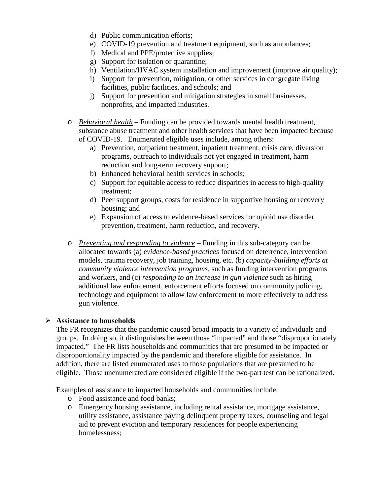- d) Public communication efforts;
- e) COVID-19 prevention and treatment equipment, such as ambulances;
- f) Medical and PPE/protective supplies;
- g) Support for isolation or quarantine;
- h) Ventilation/HVAC system installation and improvement (improve air quality);
- i) Support for prevention, mitigation, or other services in congregate living facilities, public facilities, and schools; and
- j) Support for prevention and mitigation strategies in small businesses, nonprofits, and impacted industries.
- o *Behavioral health* Funding can be provided towards mental health treatment, substance abuse treatment and other health services that have been impacted because of COVID-19. Enumerated eligible uses include, among others:
	- a) Prevention, outpatient treatment, inpatient treatment, crisis care, diversion programs, outreach to individuals not yet engaged in treatment, harm reduction and long-term recovery support;
	- b) Enhanced behavioral health services in schools;
	- c) Support for equitable access to reduce disparities in access to high-quality treatment;
	- d) Peer support groups, costs for residence in supportive housing or recovery housing; and
	- e) Expansion of access to evidence-based services for opioid use disorder prevention, treatment, harm reduction, and recovery.
- o *Preventing and responding to violence* Funding in this sub-category can be allocated towards (a) *evidence-based practices* focused on deterrence, intervention models, trauma recovery, job training, housing, etc. (b) *capacity-building efforts at community violence intervention programs,* such as funding intervention programs and workers, and (c) *responding to an increase in gun violence* such as hiring additional law enforcement, enforcement efforts focused on community policing, technology and equipment to allow law enforcement to more effectively to address gun violence.

## **Assistance to households**

The FR recognizes that the pandemic caused broad impacts to a variety of individuals and groups. In doing so, it distinguishes between those "impacted" and those "disproportionately impacted." The FR lists households and communities that are presumed to be impacted or disproportionality impacted by the pandemic and therefore eligible for assistance. In addition, there are listed enumerated uses to those populations that are presumed to be eligible. Those unenumerated are considered eligible if the two-part test can be rationalized.

Examples of assistance to impacted households and communities include:

- o Food assistance and food banks;
- o Emergency housing assistance, including rental assistance, mortgage assistance, utility assistance, assistance paying delinquent property taxes, counseling and legal aid to prevent eviction and temporary residences for people experiencing homelessness;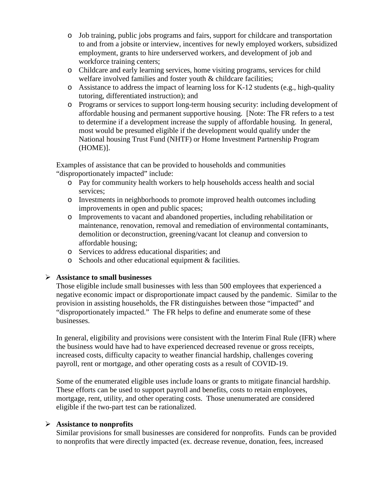- o Job training, public jobs programs and fairs, support for childcare and transportation to and from a jobsite or interview, incentives for newly employed workers, subsidized employment, grants to hire underserved workers, and development of job and workforce training centers;
- o Childcare and early learning services, home visiting programs, services for child welfare involved families and foster youth & childcare facilities;
- o Assistance to address the impact of learning loss for K-12 students (e.g., high-quality tutoring, differentiated instruction); and
- o Programs or services to support long-term housing security: including development of affordable housing and permanent supportive housing. [Note: The FR refers to a test to determine if a development increase the supply of affordable housing. In general, most would be presumed eligible if the development would qualify under the National housing Trust Fund (NHTF) or Home Investment Partnership Program (HOME)].

Examples of assistance that can be provided to households and communities "disproportionately impacted" include:

- o Pay for community health workers to help households access health and social services;
- o Investments in neighborhoods to promote improved health outcomes including improvements in open and public spaces;
- o Improvements to vacant and abandoned properties, including rehabilitation or maintenance, renovation, removal and remediation of environmental contaminants, demolition or deconstruction, greening/vacant lot cleanup and conversion to affordable housing;
- o Services to address educational disparities; and
- o Schools and other educational equipment & facilities.

## **Assistance to small businesses**

Those eligible include small businesses with less than 500 employees that experienced a negative economic impact or disproportionate impact caused by the pandemic. Similar to the provision in assisting households, the FR distinguishes between those "impacted" and "disproportionately impacted." The FR helps to define and enumerate some of these businesses.

In general, eligibility and provisions were consistent with the Interim Final Rule (IFR) where the business would have had to have experienced decreased revenue or gross receipts, increased costs, difficulty capacity to weather financial hardship, challenges covering payroll, rent or mortgage, and other operating costs as a result of COVID-19.

Some of the enumerated eligible uses include loans or grants to mitigate financial hardship. These efforts can be used to support payroll and benefits, costs to retain employees, mortgage, rent, utility, and other operating costs. Those unenumerated are considered eligible if the two-part test can be rationalized.

## **Assistance to nonprofits**

Similar provisions for small businesses are considered for nonprofits. Funds can be provided to nonprofits that were directly impacted (ex. decrease revenue, donation, fees, increased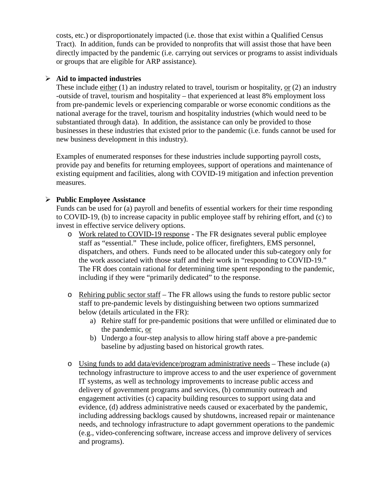costs, etc.) or disproportionately impacted (i.e. those that exist within a Qualified Census Tract). In addition, funds can be provided to nonprofits that will assist those that have been directly impacted by the pandemic (i.e. carrying out services or programs to assist individuals or groups that are eligible for ARP assistance).

#### **Aid to impacted industries**

These include either (1) an industry related to travel, tourism or hospitality, or (2) an industry -outside of travel, tourism and hospitality – that experienced at least 8% employment loss from pre-pandemic levels or experiencing comparable or worse economic conditions as the national average for the travel, tourism and hospitality industries (which would need to be substantiated through data). In addition, the assistance can only be provided to those businesses in these industries that existed prior to the pandemic (i.e. funds cannot be used for new business development in this industry).

Examples of enumerated responses for these industries include supporting payroll costs, provide pay and benefits for returning employees, support of operations and maintenance of existing equipment and facilities, along with COVID-19 mitigation and infection prevention measures.

#### **Public Employee Assistance**

Funds can be used for (a) payroll and benefits of essential workers for their time responding to COVID-19, (b) to increase capacity in public employee staff by rehiring effort, and (c) to invest in effective service delivery options.

- o Work related to COVID-19 response The FR designates several public employee staff as "essential." These include, police officer, firefighters, EMS personnel, dispatchers, and others. Funds need to be allocated under this sub-category only for the work associated with those staff and their work in "responding to COVID-19." The FR does contain rational for determining time spent responding to the pandemic, including if they were "primarily dedicated" to the response.
- o Rehiring public sector staff The FR allows using the funds to restore public sector staff to pre-pandemic levels by distinguishing between two options summarized below (details articulated in the FR):
	- a) Rehire staff for pre-pandemic positions that were unfilled or eliminated due to the pandemic, or
	- b) Undergo a four-step analysis to allow hiring staff above a pre-pandemic baseline by adjusting based on historical growth rates.
- o Using funds to add data/evidence/program administrative needs These include (a) technology infrastructure to improve access to and the user experience of government IT systems, as well as technology improvements to increase public access and delivery of government programs and services, (b) community outreach and engagement activities (c) capacity building resources to support using data and evidence, (d) address administrative needs caused or exacerbated by the pandemic, including addressing backlogs caused by shutdowns, increased repair or maintenance needs, and technology infrastructure to adapt government operations to the pandemic (e.g., video-conferencing software, increase access and improve delivery of services and programs).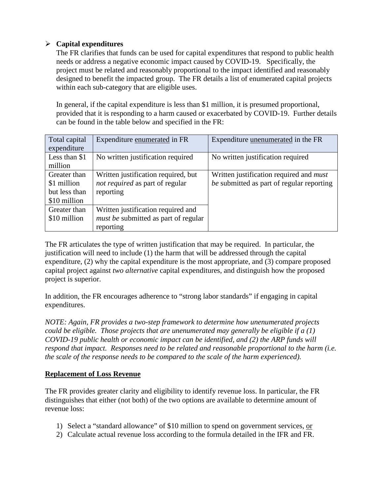## **Capital expenditures**

The FR clarifies that funds can be used for capital expenditures that respond to public health needs or address a negative economic impact caused by COVID-19. Specifically, the project must be related and reasonably proportional to the impact identified and reasonably designed to benefit the impacted group. The FR details a list of enumerated capital projects within each sub-category that are eligible uses.

In general, if the capital expenditure is less than \$1 million, it is presumed proportional, provided that it is responding to a harm caused or exacerbated by COVID-19. Further details can be found in the table below and specified in the FR:

| Total capital | Expenditure enumerated in FR                | Expenditure unenumerated in the FR             |
|---------------|---------------------------------------------|------------------------------------------------|
| expenditure   |                                             |                                                |
| Less than \$1 | No written justification required           | No written justification required              |
| million       |                                             |                                                |
| Greater than  | Written justification required, but         | Written justification required and <i>must</i> |
| \$1 million   | not required as part of regular             | be submitted as part of regular reporting      |
| but less than | reporting                                   |                                                |
| \$10 million  |                                             |                                                |
| Greater than  | Written justification required and          |                                                |
| \$10 million  | <i>must be</i> submitted as part of regular |                                                |
|               | reporting                                   |                                                |

The FR articulates the type of written justification that may be required. In particular, the justification will need to include (1) the harm that will be addressed through the capital expenditure, (2) why the capital expenditure is the most appropriate, and (3) compare proposed capital project against *two alternative* capital expenditures, and distinguish how the proposed project is superior.

In addition, the FR encourages adherence to "strong labor standards" if engaging in capital expenditures.

*NOTE: Again, FR provides a two-step framework to determine how unenumerated projects could be eligible. Those projects that are unenumerated may generally be eligible if a (1) COVID-19 public health or economic impact can be identified, and (2) the ARP funds will respond that impact. Responses need to be related and reasonable proportional to the harm (i.e. the scale of the response needs to be compared to the scale of the harm experienced).* 

## **Replacement of Loss Revenue**

The FR provides greater clarity and eligibility to identify revenue loss. In particular, the FR distinguishes that either (not both) of the two options are available to determine amount of revenue loss:

- 1) Select a "standard allowance" of \$10 million to spend on government services, or
- 2) Calculate actual revenue loss according to the formula detailed in the IFR and FR.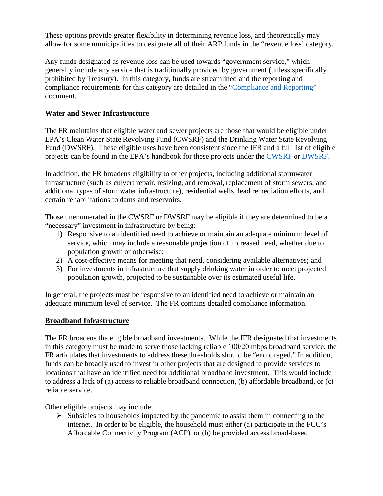These options provide greater flexibility in determining revenue loss, and theoretically may allow for some municipalities to designate all of their ARP funds in the "revenue loss' category.

Any funds designated as revenue loss can be used towards "government service," which generally include any service that is traditionally provided by government (unless specifically prohibited by Treasury). In this category, funds are streamlined and the reporting and compliance requirements for this category are detailed in the "[Compliance and Reporting"](https://home.treasury.gov/system/files/136/SLFRF-Compliance-and-Reporting-Guidance.pdf) document.

## **Water and Sewer Infrastructure**

The FR maintains that eligible water and sewer projects are those that would be eligible under EPA's Clean Water State Revolving Fund (CWSRF) and the Drinking Water State Revolving Fund (DWSRF). These eligible uses have been consistent since the IFR and a full list of eligible projects can be found in the EPA's handbook for these projects under the [CWSRF](https://www.epa.gov/sites/default/files/2016-07/documents/overview_of_cwsrf_eligibilities_may_2016.pdf) or [DWSRF](https://www.epa.gov/sites/default/files/2019-10/documents/dwsrf_eligibility_handbook_june_13_2017_updated_508_versioni.pdf).

In addition, the FR broadens eligibility to other projects, including additional stormwater infrastructure (such as culvert repair, resizing, and removal, replacement of storm sewers, and additional types of stormwater infrastructure), residential wells, lead remediation efforts, and certain rehabilitations to dams and reservoirs.

Those unenumerated in the CWSRF or DWSRF may be eligible if they are determined to be a "necessary" investment in infrastructure by being:

- 1) Responsive to an identified need to achieve or maintain an adequate minimum level of service, which may include a reasonable projection of increased need, whether due to population growth or otherwise;
- 2) A cost-effective means for meeting that need, considering available alternatives; and
- 3) For investments in infrastructure that supply drinking water in order to meet projected population growth, projected to be sustainable over its estimated useful life.

In general, the projects must be responsive to an identified need to achieve or maintain an adequate minimum level of service. The FR contains detailed compliance information.

## **Broadband Infrastructure**

The FR broadens the eligible broadband investments. While the IFR designated that investments in this category must be made to serve those lacking reliable 100/20 mbps broadband service, the FR articulates that investments to address these thresholds should be "encouraged." In addition, funds can be broadly used to invest in other projects that are designed to provide services to locations that have an identified need for additional broadband investment. This would include to address a lack of (a) access to reliable broadband connection, (b) affordable broadband, or (c) reliable service.

Other eligible projects may include:

 $\triangleright$  Subsidies to households impacted by the pandemic to assist them in connecting to the internet. In order to be eligible, the household must either (a) participate in the FCC's Affordable Connectivity Program (ACP), or (b) be provided access broad-based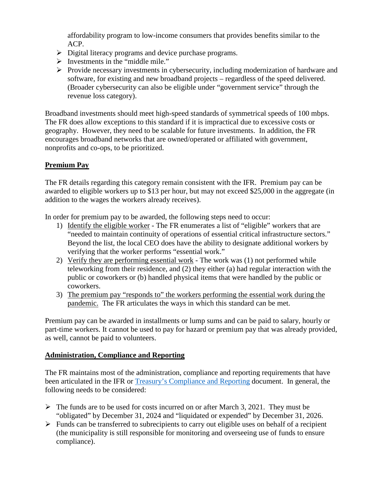affordability program to low-income consumers that provides benefits similar to the ACP.

- $\triangleright$  Digital literacy programs and device purchase programs.
- $\triangleright$  Investments in the "middle mile."
- $\triangleright$  Provide necessary investments in cybersecurity, including modernization of hardware and software, for existing and new broadband projects – regardless of the speed delivered. (Broader cybersecurity can also be eligible under "government service" through the revenue loss category).

Broadband investments should meet high-speed standards of symmetrical speeds of 100 mbps. The FR does allow exceptions to this standard if it is impractical due to excessive costs or geography. However, they need to be scalable for future investments. In addition, the FR encourages broadband networks that are owned/operated or affiliated with government, nonprofits and co-ops, to be prioritized.

# **Premium Pay**

The FR details regarding this category remain consistent with the IFR. Premium pay can be awarded to eligible workers up to \$13 per hour, but may not exceed \$25,000 in the aggregate (in addition to the wages the workers already receives).

In order for premium pay to be awarded, the following steps need to occur:

- 1) Identify the eligible worker The FR enumerates a list of "eligible" workers that are "needed to maintain continuity of operations of essential critical infrastructure sectors." Beyond the list, the local CEO does have the ability to designate additional workers by verifying that the worker performs "essential work."
- 2) Verify they are performing essential work The work was (1) not performed while teleworking from their residence, and (2) they either (a) had regular interaction with the public or coworkers or (b) handled physical items that were handled by the public or coworkers.
- 3) The premium pay "responds to" the workers performing the essential work during the pandemic. The FR articulates the ways in which this standard can be met.

Premium pay can be awarded in installments or lump sums and can be paid to salary, hourly or part-time workers. It cannot be used to pay for hazard or premium pay that was already provided, as well, cannot be paid to volunteers.

## **Administration, Compliance and Reporting**

The FR maintains most of the administration, compliance and reporting requirements that have been articulated in the IFR or [Treasury's Compliance and Reporting](https://home.treasury.gov/system/files/136/SLFRF-Compliance-and-Reporting-Guidance.pdf) document. In general, the following needs to be considered:

- $\triangleright$  The funds are to be used for costs incurred on or after March 3, 2021. They must be "obligated" by December 31, 2024 and "liquidated or expended" by December 31, 2026.
- $\triangleright$  Funds can be transferred to subrecipients to carry out eligible uses on behalf of a recipient (the municipality is still responsible for monitoring and overseeing use of funds to ensure compliance).